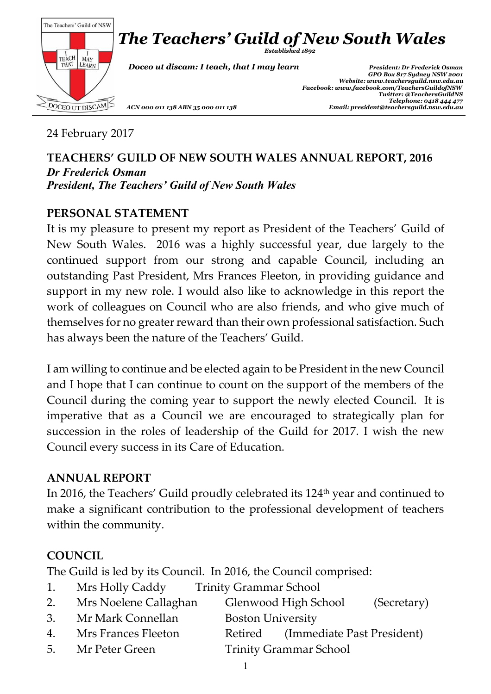

24 February 2017

### **TEACHERS' GUILD OF NEW SOUTH WALES ANNUAL REPORT, 2016** *Dr Frederick Osman President, The Teachers' Guild of New South Wales*

# **PERSONAL STATEMENT**

It is my pleasure to present my report as President of the Teachers' Guild of New South Wales. 2016 was a highly successful year, due largely to the continued support from our strong and capable Council, including an outstanding Past President, Mrs Frances Fleeton, in providing guidance and support in my new role. I would also like to acknowledge in this report the work of colleagues on Council who are also friends, and who give much of themselves for no greater reward than their own professional satisfaction. Such has always been the nature of the Teachers' Guild.

I am willing to continue and be elected again to be President in the new Council and I hope that I can continue to count on the support of the members of the Council during the coming year to support the newly elected Council. It is imperative that as a Council we are encouraged to strategically plan for succession in the roles of leadership of the Guild for 2017. I wish the new Council every success in its Care of Education.

#### **ANNUAL REPORT**

In 2016, the Teachers' Guild proudly celebrated its 124 th year and continued to make a significant contribution to the professional development of teachers within the community.

# **COUNCIL**

The Guild is led by its Council. In 2016, the Council comprised:

- 1. Mrs Holly Caddy Trinity Grammar School
- 2. Mrs Noelene Callaghan Glenwood High School (Secretary)
- 3. Mr Mark Connellan Boston University
- 4. Mrs Frances Fleeton Retired (Immediate Past President)
- 5. Mr Peter Green Trinity Grammar School
	- 1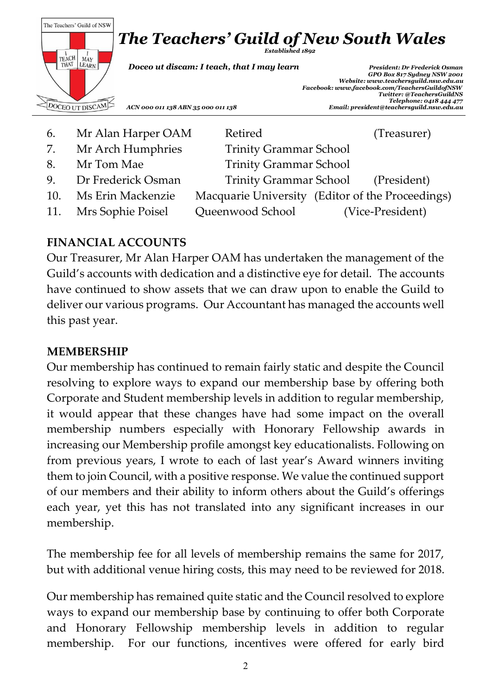

6. Mr Alan Harper OAM Retired (Treasurer) 7. Mr Arch Humphries Trinity Grammar School 8. Mr Tom Mae Trinity Grammar School 9. Dr Frederick Osman Trinity Grammar School (President) 10. Ms Erin Mackenzie Macquarie University (Editor of the Proceedings) 11. Mrs Sophie Poisel Queenwood School (Vice-President)

# **FINANCIAL ACCOUNTS**

Our Treasurer, Mr Alan Harper OAM has undertaken the management of the Guild's accounts with dedication and a distinctive eye for detail. The accounts have continued to show assets that we can draw upon to enable the Guild to deliver our various programs. Our Accountant has managed the accounts well this past year.

#### **MEMBERSHIP**

Our membership has continued to remain fairly static and despite the Council resolving to explore ways to expand our membership base by offering both Corporate and Student membership levels in addition to regular membership, it would appear that these changes have had some impact on the overall membership numbers especially with Honorary Fellowship awards in increasing our Membership profile amongst key educationalists. Following on from previous years, I wrote to each of last year's Award winners inviting them to join Council, with a positive response. We value the continued support of our members and their ability to inform others about the Guild's offerings each year, yet this has not translated into any significant increases in our membership.

The membership fee for all levels of membership remains the same for 2017, but with additional venue hiring costs, this may need to be reviewed for 2018.

Our membership has remained quite static and the Council resolved to explore ways to expand our membership base by continuing to offer both Corporate and Honorary Fellowship membership levels in addition to regular membership. For our functions, incentives were offered for early bird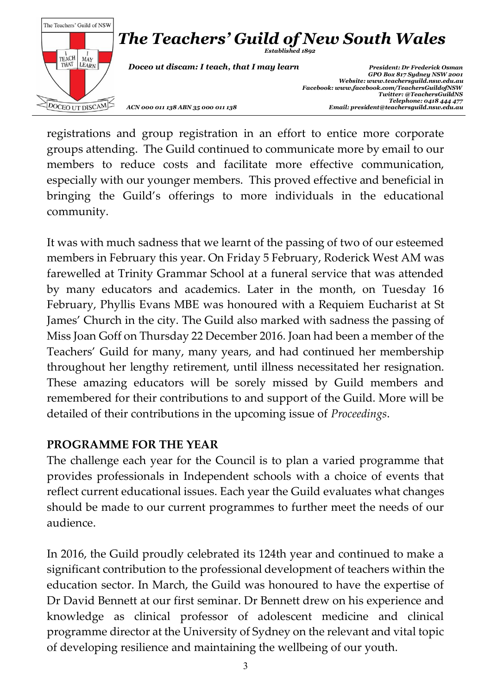

registrations and group registration in an effort to entice more corporate groups attending. The Guild continued to communicate more by email to our members to reduce costs and facilitate more effective communication, especially with our younger members. This proved effective and beneficial in bringing the Guild's offerings to more individuals in the educational community.

It was with much sadness that we learnt of the passing of two of our esteemed members in February this year. On Friday 5 February, Roderick West AM was farewelled at Trinity Grammar School at a funeral service that was attended by many educators and academics. Later in the month, on Tuesday 16 February, Phyllis Evans MBE was honoured with a Requiem Eucharist at St James' Church in the city. The Guild also marked with sadness the passing of Miss Joan Goff on Thursday 22 December 2016. Joan had been a member of the Teachers' Guild for many, many years, and had continued her membership throughout her lengthy retirement, until illness necessitated her resignation. These amazing educators will be sorely missed by Guild members and remembered for their contributions to and support of the Guild. More will be detailed of their contributions in the upcoming issue of *Proceedings*.

# **PROGRAMME FOR THE YEAR**

The challenge each year for the Council is to plan a varied programme that provides professionals in Independent schools with a choice of events that reflect current educational issues. Each year the Guild evaluates what changes should be made to our current programmes to further meet the needs of our audience.

In 2016, the Guild proudly celebrated its 124th year and continued to make a significant contribution to the professional development of teachers within the education sector. In March, the Guild was honoured to have the expertise of Dr David Bennett at our first seminar. Dr Bennett drew on his experience and knowledge as clinical professor of adolescent medicine and clinical programme director at the University of Sydney on the relevant and vital topic of developing resilience and maintaining the wellbeing of our youth.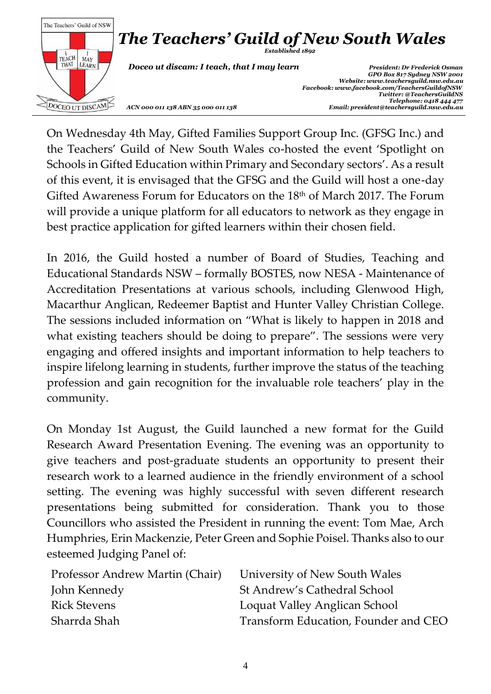

On Wednesday 4th May, Gifted Families Support Group Inc. (GFSG Inc.) and the Teachers' Guild of New South Wales co-hosted the event 'Spotlight on Schools in Gifted Education within Primary and Secondary sectors'. As a result of this event, it is envisaged that the GFSG and the Guild will host a one-day Gifted Awareness Forum for Educators on the 18<sup>th</sup> of March 2017. The Forum will provide a unique platform for all educators to network as they engage in best practice application for gifted learners within their chosen field.

In 2016, the Guild hosted a number of Board of Studies, Teaching and Educational Standards NSW – formally BOSTES, now NESA - Maintenance of Accreditation Presentations at various schools, including Glenwood High, Macarthur Anglican, Redeemer Baptist and Hunter Valley Christian College. The sessions included information on "What is likely to happen in 2018 and what existing teachers should be doing to prepare". The sessions were very engaging and offered insights and important information to help teachers to inspire lifelong learning in students, further improve the status of the teaching profession and gain recognition for the invaluable role teachers' play in the community.

On Monday 1st August, the Guild launched a new format for the Guild Research Award Presentation Evening. The evening was an opportunity to give teachers and post-graduate students an opportunity to present their research work to a learned audience in the friendly environment of a school setting. The evening was highly successful with seven different research presentations being submitted for consideration. Thank you to those Councillors who assisted the President in running the event: Tom Mae, Arch Humphries, Erin Mackenzie, Peter Green and Sophie Poisel. Thanks also to our esteemed Judging Panel of:

| Professor Andrew Martin (Chair) | University of New South Wales        |
|---------------------------------|--------------------------------------|
| John Kennedy                    | St Andrew's Cathedral School         |
| <b>Rick Stevens</b>             | Loquat Valley Anglican School        |
| Sharrda Shah                    | Transform Education, Founder and CEO |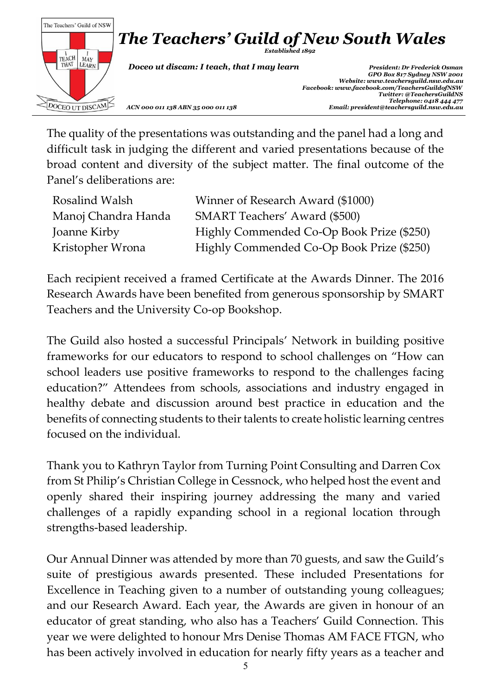

The quality of the presentations was outstanding and the panel had a long and difficult task in judging the different and varied presentations because of the broad content and diversity of the subject matter. The final outcome of the Panel's deliberations are:

| <b>Rosalind Walsh</b> | Winner of Research Award (\$1000)         |
|-----------------------|-------------------------------------------|
| Manoj Chandra Handa   | <b>SMART Teachers' Award (\$500)</b>      |
| Joanne Kirby          | Highly Commended Co-Op Book Prize (\$250) |
| Kristopher Wrona      | Highly Commended Co-Op Book Prize (\$250) |

Each recipient received a framed Certificate at the Awards Dinner. The 2016 Research Awards have been benefited from generous sponsorship by SMART Teachers and the University Co-op Bookshop.

The Guild also hosted a successful Principals' Network in building positive frameworks for our educators to respond to school challenges on "How can school leaders use positive frameworks to respond to the challenges facing education?" Attendees from schools, associations and industry engaged in healthy debate and discussion around best practice in education and the benefits of connecting students to their talents to create holistic learning centres focused on the individual.

Thank you to Kathryn Taylor from Turning Point Consulting and Darren Cox from St Philip's Christian College in Cessnock, who helped host the event and openly shared their inspiring journey addressing the many and varied challenges of a rapidly expanding school in a regional location through strengths-based leadership.

Our Annual Dinner was attended by more than 70 guests, and saw the Guild's suite of prestigious awards presented. These included Presentations for Excellence in Teaching given to a number of outstanding young colleagues; and our Research Award. Each year, the Awards are given in honour of an educator of great standing, who also has a Teachers' Guild Connection. This year we were delighted to honour Mrs Denise Thomas AM FACE FTGN, who has been actively involved in education for nearly fifty years as a teacher and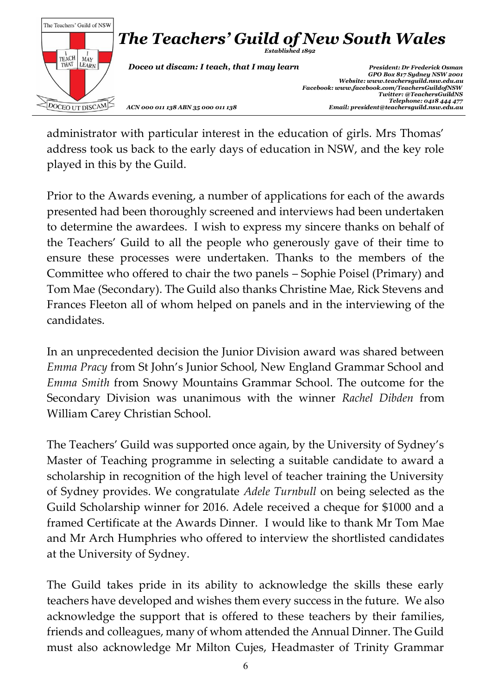

administrator with particular interest in the education of girls. Mrs Thomas' address took us back to the early days of education in NSW, and the key role played in this by the Guild.

Prior to the Awards evening, a number of applications for each of the awards presented had been thoroughly screened and interviews had been undertaken to determine the awardees. I wish to express my sincere thanks on behalf of the Teachers' Guild to all the people who generously gave of their time to ensure these processes were undertaken. Thanks to the members of the Committee who offered to chair the two panels – Sophie Poisel (Primary) and Tom Mae (Secondary). The Guild also thanks Christine Mae, Rick Stevens and Frances Fleeton all of whom helped on panels and in the interviewing of the candidates.

In an unprecedented decision the Junior Division award was shared between *Emma Pracy* from St John's Junior School, New England Grammar School and *Emma Smith* from Snowy Mountains Grammar School. The outcome for the Secondary Division was unanimous with the winner *Rachel Dibden* from William Carey Christian School.

The Teachers' Guild was supported once again, by the University of Sydney's Master of Teaching programme in selecting a suitable candidate to award a scholarship in recognition of the high level of teacher training the University of Sydney provides. We congratulate *Adele Turnbull* on being selected as the Guild Scholarship winner for 2016. Adele received a cheque for \$1000 and a framed Certificate at the Awards Dinner. I would like to thank Mr Tom Mae and Mr Arch Humphries who offered to interview the shortlisted candidates at the University of Sydney.

The Guild takes pride in its ability to acknowledge the skills these early teachers have developed and wishes them every success in the future. We also acknowledge the support that is offered to these teachers by their families, friends and colleagues, many of whom attended the Annual Dinner. The Guild must also acknowledge Mr Milton Cujes, Headmaster of Trinity Grammar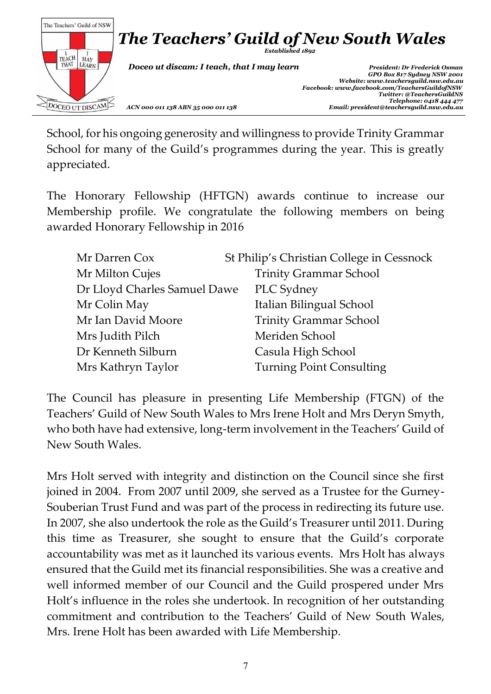

School, for his ongoing generosity and willingness to provide Trinity Grammar School for many of the Guild's programmes during the year. This is greatly appreciated.

The Honorary Fellowship (HFTGN) awards continue to increase our Membership profile. We congratulate the following members on being awarded Honorary Fellowship in 2016

| Mr Darren Cox                | St Philip's Christian College in Cessnock |
|------------------------------|-------------------------------------------|
| Mr Milton Cujes              | <b>Trinity Grammar School</b>             |
| Dr Lloyd Charles Samuel Dawe | PLC Sydney                                |
| Mr Colin May                 | Italian Bilingual School                  |
| Mr Ian David Moore           | <b>Trinity Grammar School</b>             |
| Mrs Judith Pilch             | Meriden School                            |
| Dr Kenneth Silburn           | Casula High School                        |
| Mrs Kathryn Taylor           | <b>Turning Point Consulting</b>           |

The Council has pleasure in presenting Life Membership (FTGN) of the Teachers' Guild of New South Wales to Mrs Irene Holt and Mrs Deryn Smyth, who both have had extensive, long-term involvement in the Teachers' Guild of New South Wales.

Mrs Holt served with integrity and distinction on the Council since she first joined in 2004. From 2007 until 2009, she served as a Trustee for the Gurney-Souberian Trust Fund and was part of the process in redirecting its future use. In 2007, she also undertook the role as the Guild's Treasurer until 2011. During this time as Treasurer, she sought to ensure that the Guild's corporate accountability was met as it launched its various events. Mrs Holt has always ensured that the Guild met its financial responsibilities. She was a creative and well informed member of our Council and the Guild prospered under Mrs Holt's influence in the roles she undertook. In recognition of her outstanding commitment and contribution to the Teachers' Guild of New South Wales, Mrs. Irene Holt has been awarded with Life Membership.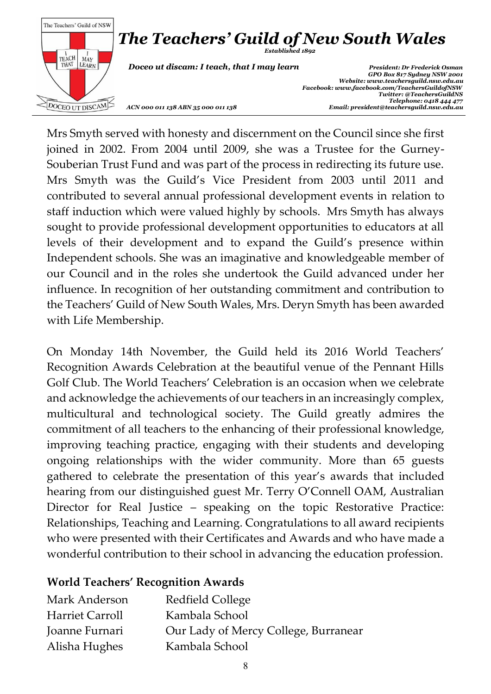

Mrs Smyth served with honesty and discernment on the Council since she first joined in 2002. From 2004 until 2009, she was a Trustee for the Gurney-Souberian Trust Fund and was part of the process in redirecting its future use. Mrs Smyth was the Guild's Vice President from 2003 until 2011 and contributed to several annual professional development events in relation to staff induction which were valued highly by schools. Mrs Smyth has always sought to provide professional development opportunities to educators at all levels of their development and to expand the Guild's presence within Independent schools. She was an imaginative and knowledgeable member of our Council and in the roles she undertook the Guild advanced under her influence. In recognition of her outstanding commitment and contribution to the Teachers' Guild of New South Wales, Mrs. Deryn Smyth has been awarded with Life Membership.

On Monday 14th November, the Guild held its 2016 World Teachers' Recognition Awards Celebration at the beautiful venue of the Pennant Hills Golf Club. The World Teachers' Celebration is an occasion when we celebrate and acknowledge the achievements of our teachers in an increasingly complex, multicultural and technological society. The Guild greatly admires the commitment of all teachers to the enhancing of their professional knowledge, improving teaching practice, engaging with their students and developing ongoing relationships with the wider community. More than 65 guests gathered to celebrate the presentation of this year's awards that included hearing from our distinguished guest Mr. Terry O'Connell OAM, Australian Director for Real Justice – speaking on the topic Restorative Practice: Relationships, Teaching and Learning. Congratulations to all award recipients who were presented with their Certificates and Awards and who have made a wonderful contribution to their school in advancing the education profession.

#### **World Teachers' Recognition Awards**

| Mark Anderson   | Redfield College                     |
|-----------------|--------------------------------------|
| Harriet Carroll | Kambala School                       |
| Joanne Furnari  | Our Lady of Mercy College, Burranear |
| Alisha Hughes   | Kambala School                       |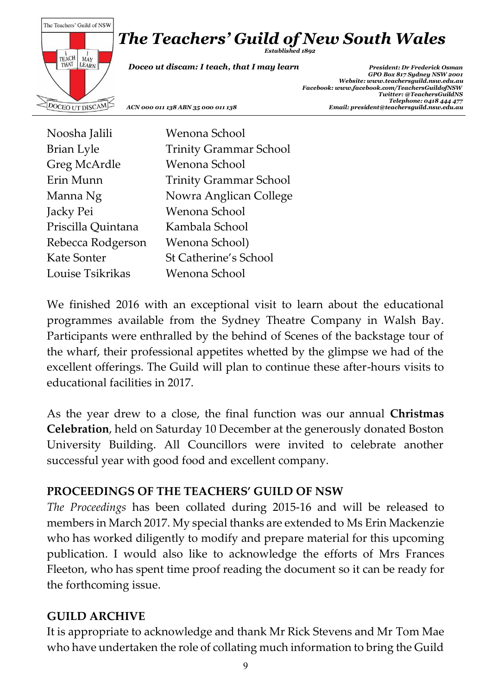# *The Teachers' Guild of New South Wales*



*Established 1892*

 *Doceo ut discam: I teach, that I may learn President: Dr Frederick Osman*

 *GPO Box 817 Sydney NSW 2001 Website[: www.teachersguild.nsw.edu.au](http://www.teachersguild.nsw.edu.au/) Facebook[: www.facebook.com/TeachersGuildofNSW](http://www.facebook.com/TeachersGuildofNSW) Twitter: @TeachersGuildNS Telephone: 0418 444 477 ACN 000 011 138 ABN 35 000 011 138 Email: president@teachersguild.nsw.edu.au*

Noosha Jalili Wenona School Brian Lyle Trinity Grammar School Greg McArdle Wenona School Erin Munn Trinity Grammar School Manna Ng **Nowra Anglican College** Jacky Pei Wenona School Priscilla Quintana Kambala School Rebecca Rodgerson Wenona School) Kate Sonter St Catherine's School Louise Tsikrikas Wenona School

We finished 2016 with an exceptional visit to learn about the educational programmes available from the Sydney Theatre Company in Walsh Bay. Participants were enthralled by the behind of Scenes of the backstage tour of the wharf, their professional appetites whetted by the glimpse we had of the excellent offerings. The Guild will plan to continue these after-hours visits to educational facilities in 2017.

As the year drew to a close, the final function was our annual **Christmas Celebration**, held on Saturday 10 December at the generously donated Boston University Building. All Councillors were invited to celebrate another successful year with good food and excellent company.

# **PROCEEDINGS OF THE TEACHERS' GUILD OF NSW**

*The Proceedings* has been collated during 2015-16 and will be released to members in March 2017. My special thanks are extended to Ms Erin Mackenzie who has worked diligently to modify and prepare material for this upcoming publication. I would also like to acknowledge the efforts of Mrs Frances Fleeton, who has spent time proof reading the document so it can be ready for the forthcoming issue.

# **GUILD ARCHIVE**

It is appropriate to acknowledge and thank Mr Rick Stevens and Mr Tom Mae who have undertaken the role of collating much information to bring the Guild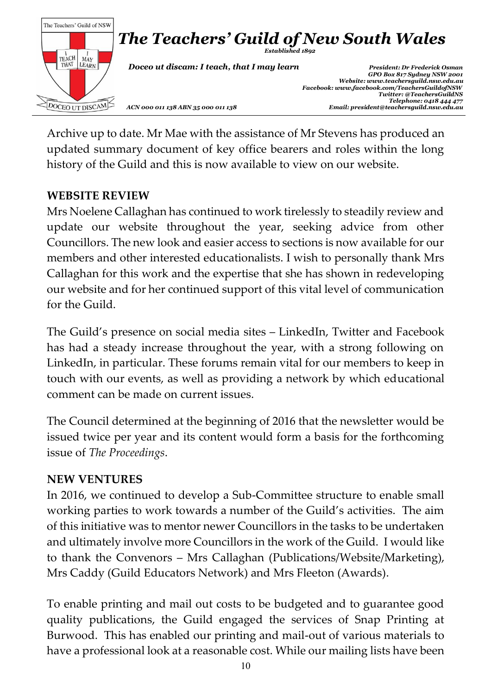

Archive up to date. Mr Mae with the assistance of Mr Stevens has produced an updated summary document of key office bearers and roles within the long history of the Guild and this is now available to view on our website.

# **WEBSITE REVIEW**

Mrs Noelene Callaghan has continued to work tirelessly to steadily review and update our website throughout the year, seeking advice from other Councillors. The new look and easier access to sections is now available for our members and other interested educationalists. I wish to personally thank Mrs Callaghan for this work and the expertise that she has shown in redeveloping our website and for her continued support of this vital level of communication for the Guild.

The Guild's presence on social media sites – LinkedIn, Twitter and Facebook has had a steady increase throughout the year, with a strong following on LinkedIn, in particular. These forums remain vital for our members to keep in touch with our events, as well as providing a network by which educational comment can be made on current issues.

The Council determined at the beginning of 2016 that the newsletter would be issued twice per year and its content would form a basis for the forthcoming issue of *The Proceedings*.

#### **NEW VENTURES**

In 2016, we continued to develop a Sub-Committee structure to enable small working parties to work towards a number of the Guild's activities. The aim of this initiative was to mentor newer Councillors in the tasks to be undertaken and ultimately involve more Councillors in the work of the Guild. I would like to thank the Convenors – Mrs Callaghan (Publications/Website/Marketing), Mrs Caddy (Guild Educators Network) and Mrs Fleeton (Awards).

To enable printing and mail out costs to be budgeted and to guarantee good quality publications, the Guild engaged the services of Snap Printing at Burwood. This has enabled our printing and mail-out of various materials to have a professional look at a reasonable cost. While our mailing lists have been